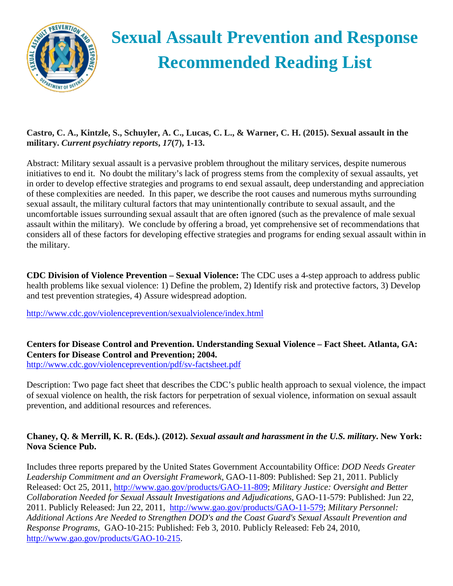

# **Sexual Assault Prevention and Response Recommended Reading List**

# **Castro, C. A., Kintzle, S., Schuyler, A. C., Lucas, C. L., & Warner, C. H. (2015). Sexual assault in the military.** *Current psychiatry reports***,** *17***(7), 1-13.**

Abstract: Military sexual assault is a pervasive problem throughout the military services, despite numerous initiatives to end it. No doubt the military's lack of progress stems from the complexity of sexual assaults, yet in order to develop effective strategies and programs to end sexual assault, deep understanding and appreciation of these complexities are needed. In this paper, we describe the root causes and numerous myths surrounding sexual assault, the military cultural factors that may unintentionally contribute to sexual assault, and the uncomfortable issues surrounding sexual assault that are often ignored (such as the prevalence of male sexual assault within the military). We conclude by offering a broad, yet comprehensive set of recommendations that considers all of these factors for developing effective strategies and programs for ending sexual assault within in the military.

**CDC Division of Violence Prevention – Sexual Violence:** The CDC uses a 4-step approach to address public health problems like sexual violence: 1) Define the problem, 2) Identify risk and protective factors, 3) Develop and test prevention strategies, 4) Assure widespread adoption.

<http://www.cdc.gov/violenceprevention/sexualviolence/index.html>

**Centers for Disease Control and Prevention. Understanding Sexual Violence – Fact Sheet. Atlanta, GA: Centers for Disease Control and Prevention; 2004.** <http://www.cdc.gov/violenceprevention/pdf/sv-factsheet.pdf>

Description: Two page fact sheet that describes the CDC's public health approach to sexual violence, the impact of sexual violence on health, the risk factors for perpetration of sexual violence, information on sexual assault prevention, and additional resources and references.

# **Chaney, Q. & Merrill, K. R. (Eds.). (2012).** *Sexual assault and harassment in the U.S. military***. New York: Nova Science Pub.**

Includes three reports prepared by the United States Government Accountability Office: *DOD Needs Greater Leadership Commitment and an Oversight Framework*, GAO-11-809: Published: Sep 21, 2011. Publicly Released: Oct 25, 2011, [http://www.gao.gov/products/GAO-11-809;](http://www.gao.gov/products/GAO-11-809) *Military Justice: Oversight and Better Collaboration Needed for Sexual Assault Investigations and Adjudications*, GAO-11-579: Published: Jun 22, 2011. Publicly Released: Jun 22, 2011, [http://www.gao.gov/products/GAO-11-579;](http://www.gao.gov/products/GAO-11-579) *Military Personnel: Additional Actions Are Needed to Strengthen DOD's and the Coast Guard's Sexual Assault Prevention and Response Programs*, GAO-10-215: Published: Feb 3, 2010. Publicly Released: Feb 24, 2010, [http://www.gao.gov/products/GAO-10-215.](http://www.gao.gov/products/GAO-10-215)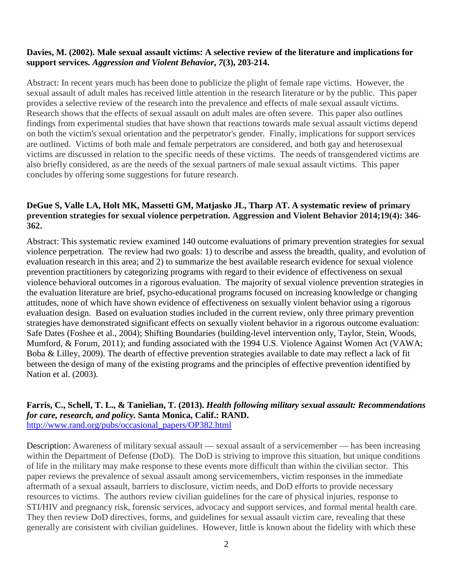#### **Davies, M. (2002). Male sexual assault victims: A selective review of the literature and implications for support services.** *Aggression and Violent Behavior***,** *7***(3), 203-214.**

Abstract: In recent years much has been done to publicize the plight of female rape victims. However, the sexual assault of adult males has received little attention in the research literature or by the public. This paper provides a selective review of the research into the prevalence and effects of male sexual assault victims. Research shows that the effects of sexual assault on adult males are often severe. This paper also outlines findings from experimental studies that have shown that reactions towards male sexual assault victims depend on both the victim's sexual orientation and the perpetrator's gender. Finally, implications for support services are outlined. Victims of both male and female perpetrators are considered, and both gay and heterosexual victims are discussed in relation to the specific needs of these victims. The needs of transgendered victims are also briefly considered, as are the needs of the sexual partners of male sexual assault victims. This paper concludes by offering some suggestions for future research.

#### **DeGue S, Valle LA, Holt MK, Massetti GM, Matjasko JL, Tharp AT. A systematic review of primary prevention strategies for sexual violence perpetration. Aggression and Violent Behavior 2014;19(4): 346- 362.**

Abstract: This systematic review examined 140 outcome evaluations of primary prevention strategies for sexual violence perpetration. The review had two goals: 1) to describe and assess the breadth, quality, and evolution of evaluation research in this area; and 2) to summarize the best available research evidence for sexual violence prevention practitioners by categorizing programs with regard to their evidence of effectiveness on sexual violence behavioral outcomes in a rigorous evaluation. The majority of sexual violence prevention strategies in the evaluation literature are brief, psycho-educational programs focused on increasing knowledge or changing attitudes, none of which have shown evidence of effectiveness on sexually violent behavior using a rigorous evaluation design. Based on evaluation studies included in the current review, only three primary prevention strategies have demonstrated significant effects on sexually violent behavior in a rigorous outcome evaluation: Safe Dates (Foshee et al., 2004); Shifting Boundaries (building-level intervention only, Taylor, Stein, Woods, Mumford, & Forum, 2011); and funding associated with the 1994 U.S. Violence Against Women Act (VAWA; Boba & Lilley, 2009). The dearth of effective prevention strategies available to date may reflect a lack of fit between the design of many of the existing programs and the principles of effective prevention identified by Nation et al. (2003).

#### **Farris, C., Schell, T. L., & Tanielian, T. (2013).** *Health following military sexual assault: Recommendations for care, research, and policy.* **Santa Monica, Calif.: RAND.** [http://www.rand.org/pubs/occasional\\_papers/OP382.html](http://www.rand.org/pubs/occasional_papers/OP382.html)

Description: Awareness of military sexual assault — sexual assault of a servicemember — has been increasing within the Department of Defense (DoD). The DoD is striving to improve this situation, but unique conditions of life in the military may make response to these events more difficult than within the civilian sector. This paper reviews the prevalence of sexual assault among servicemembers, victim responses in the immediate aftermath of a sexual assault, barriers to disclosure, victim needs, and DoD efforts to provide necessary resources to victims. The authors review civilian guidelines for the care of physical injuries, response to STI/HIV and pregnancy risk, forensic services, advocacy and support services, and formal mental health care. They then review DoD directives, forms, and guidelines for sexual assault victim care, revealing that these generally are consistent with civilian guidelines. However, little is known about the fidelity with which these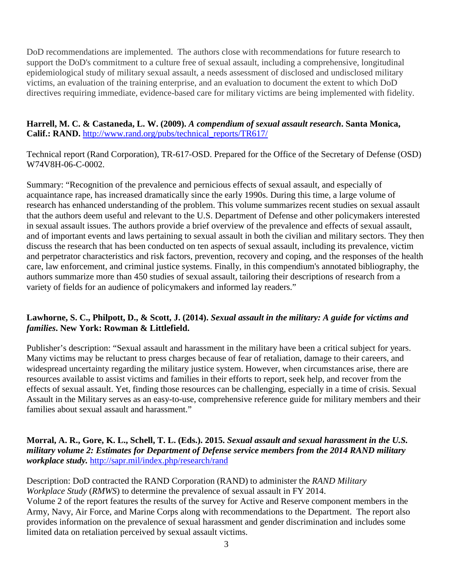DoD recommendations are implemented. The authors close with recommendations for future research to support the DoD's commitment to a culture free of sexual assault, including a comprehensive, longitudinal epidemiological study of military sexual assault, a needs assessment of disclosed and undisclosed military victims, an evaluation of the training enterprise, and an evaluation to document the extent to which DoD directives requiring immediate, evidence-based care for military victims are being implemented with fidelity.

### **Harrell, M. C. & Castaneda, L. W. (2009).** *A compendium of sexual assault research***. Santa Monica, Calif.: RAND.** [http://www.rand.org/pubs/technical\\_reports/TR617/](http://www.rand.org/pubs/technical_reports/TR617/)

Technical report (Rand Corporation), TR-617-OSD. Prepared for the Office of the Secretary of Defense (OSD) W74V8H-06-C-0002.

Summary: "Recognition of the prevalence and pernicious effects of sexual assault, and especially of acquaintance rape, has increased dramatically since the early 1990s. During this time, a large volume of research has enhanced understanding of the problem. This volume summarizes recent studies on sexual assault that the authors deem useful and relevant to the U.S. Department of Defense and other policymakers interested in sexual assault issues. The authors provide a brief overview of the prevalence and effects of sexual assault, and of important events and laws pertaining to sexual assault in both the civilian and military sectors. They then discuss the research that has been conducted on ten aspects of sexual assault, including its prevalence, victim and perpetrator characteristics and risk factors, prevention, recovery and coping, and the responses of the health care, law enforcement, and criminal justice systems. Finally, in this compendium's annotated bibliography, the authors summarize more than 450 studies of sexual assault, tailoring their descriptions of research from a variety of fields for an audience of policymakers and informed lay readers."

## **Lawhorne, S. C., Philpott, D., & Scott, J. (2014).** *Sexual assault in the military: A guide for victims and families***. New York: Rowman & Littlefield.**

Publisher's description: "Sexual assault and harassment in the military have been a critical subject for years. Many victims may be reluctant to press charges because of fear of retaliation, damage to their careers, and widespread uncertainty regarding the military justice system. However, when circumstances arise, there are resources available to assist victims and families in their efforts to report, seek help, and recover from the effects of sexual assault. Yet, finding those resources can be challenging, especially in a time of crisis. Sexual Assault in the Military serves as an easy-to-use, comprehensive reference guide for military members and their families about sexual assault and harassment."

**Morral, A. R., Gore, K. L., Schell, T. L. (Eds.). 2015.** *Sexual assault and sexual harassment in the U.S. military volume 2: Estimates for Department of Defense service members from the 2014 RAND military workplace study.* <http://sapr.mil/index.php/research/rand>

Description: DoD contracted the RAND Corporation (RAND) to administer the *RAND Military Workplace Study* (*RMWS*) to determine the prevalence of sexual assault in FY 2014. Volume 2 of the report features the results of the survey for Active and Reserve component members in the Army, Navy, Air Force, and Marine Corps along with recommendations to the Department. The report also provides information on the prevalence of sexual harassment and gender discrimination and includes some limited data on retaliation perceived by sexual assault victims.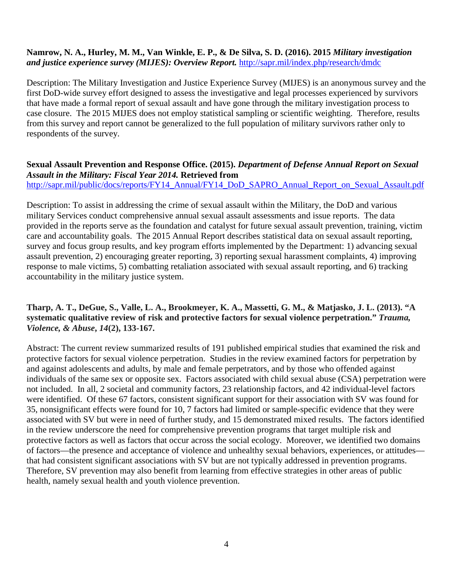#### **Namrow, N. A., Hurley, M. M., Van Winkle, E. P., & De Silva, S. D. (2016). 2015** *Military investigation and justice experience survey (MIJES): Overview Report.* <http://sapr.mil/index.php/research/dmdc>

Description: The Military Investigation and Justice Experience Survey (MIJES) is an anonymous survey and the first DoD-wide survey effort designed to assess the investigative and legal processes experienced by survivors that have made a formal report of sexual assault and have gone through the military investigation process to case closure. The 2015 MIJES does not employ statistical sampling or scientific weighting. Therefore, results from this survey and report cannot be generalized to the full population of military survivors rather only to respondents of the survey.

## **Sexual Assault Prevention and Response Office. (2015).** *Department of Defense Annual Report on Sexual Assault in the Military: Fiscal Year 2014.* **Retrieved from**

[http://sapr.mil/public/docs/reports/FY14\\_Annual/FY14\\_DoD\\_SAPRO\\_Annual\\_Report\\_on\\_Sexual\\_Assault.pdf](http://sapr.mil/public/docs/reports/FY14_Annual/FY14_DoD_SAPRO_Annual_Report_on_Sexual_Assault.pdf)

Description: To assist in addressing the crime of sexual assault within the Military, the DoD and various military Services conduct comprehensive annual sexual assault assessments and issue reports. The data provided in the reports serve as the foundation and catalyst for future sexual assault prevention, training, victim care and accountability goals. The 2015 Annual Report describes statistical data on sexual assault reporting, survey and focus group results, and key program efforts implemented by the Department: 1) advancing sexual assault prevention, 2) encouraging greater reporting, 3) reporting sexual harassment complaints, 4) improving response to male victims, 5) combatting retaliation associated with sexual assault reporting, and 6) tracking accountability in the military justice system.

## **Tharp, A. T., DeGue, S., Valle, L. A., Brookmeyer, K. A., Massetti, G. M., & Matjasko, J. L. (2013). "A systematic qualitative review of risk and protective factors for sexual violence perpetration."** *Trauma, Violence, & Abuse***,** *14***(2), 133-167.**

Abstract: The current review summarized results of 191 published empirical studies that examined the risk and protective factors for sexual violence perpetration. Studies in the review examined factors for perpetration by and against adolescents and adults, by male and female perpetrators, and by those who offended against individuals of the same sex or opposite sex. Factors associated with child sexual abuse (CSA) perpetration were not included. In all, 2 societal and community factors, 23 relationship factors, and 42 individual-level factors were identified. Of these 67 factors, consistent significant support for their association with SV was found for 35, nonsignificant effects were found for 10, 7 factors had limited or sample-specific evidence that they were associated with SV but were in need of further study, and 15 demonstrated mixed results. The factors identified in the review underscore the need for comprehensive prevention programs that target multiple risk and protective factors as well as factors that occur across the social ecology. Moreover, we identified two domains of factors—the presence and acceptance of violence and unhealthy sexual behaviors, experiences, or attitudes that had consistent significant associations with SV but are not typically addressed in prevention programs. Therefore, SV prevention may also benefit from learning from effective strategies in other areas of public health, namely sexual health and youth violence prevention.